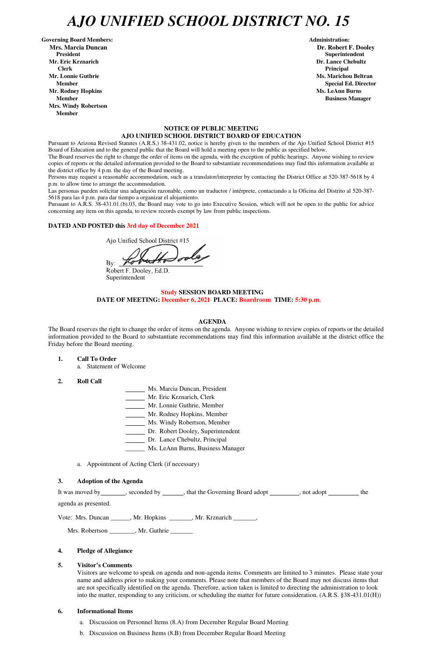## *AJO UNIFIED SCHOOL DISTRICT NO. 15*

Governing Board Members: **Administration: Administration: Administration: Mrs. Marcia Duncan Dr. Robert F. Dooley President Superintendent in the set of the set of the set of the set of the set of the Superintendent Superintendent Mr. Eric Krznarich Dr. Lance Chebultz Clerk Principal Mr. Lonnie Guthrie Ms. Marichou Beltran** *Ms. Marichou Beltran* **<b>Ms. Marichou Beltran Mr. Rodney Hopkins Ms. LeAnn Burns Member Business Manager Business Manager Business Manager Business Manager Mrs. Windy Robertson Member** 

### **NOTICE OF PUBLIC MEETING AJO UNIFIED SCHOOL DISTRICT BOARD OF EDUCATION**

Pursuant to Arizona Revised Statutes (A.R.S.) 38-431.02, notice is hereby given to the members of the Ajo Unified School District #15 Board of Education and to the general public that the Board will hold a meeting open to the public as specified below.

The Board reserves the right to change the order of items on the agenda, with the exception of public hearings. Anyone wishing to review copies of reports or the detailed information provided to the Board to substantiate recommendations may find this information available at the district office by 4 p.m. the day of the Board meeting.

Persons may request a reasonable accommodation, such as a translator/interpreter by contacting the District Office at 520-387-5618 by 4 p.m. to allow time to arrange the accommodation.

Las personas pueden solicitar una adaptación razonable, como un traductor / intérprete, contactando a la Oficina del Distrito al 520-387- 5618 para las 4 p.m. para dar tiempo a organizar el alojamiento.

It was moved by seconded by \_\_\_\_\_, that the Governing Board adopt \_\_\_\_\_\_\_, not adopt \_\_\_\_\_\_\_ the agenda as presented.

Pursuant to A.R.S. 38-431.01.(b).03, the Board may vote to go into Executive Session, which will not be open to the public for advice concerning any item on this agenda, to review records exempt by law from public inspections.

### **DATED AND POSTED this 3rd day of December 2021**

Ajo Unified School District #15

 $\mathbf{By:}$   $\_$ 

Robert F. Dooley, Ed.D. Superintendent

### **Study SESSION BOARD MEETING DATE OF MEETING: December 6, 2021 PLACE: Boardroom TIME: 5:30 p.m.**

### **AGENDA**

The Board reserves the right to change the order of items on the agenda. Anyone wishing to review copies of reports or the detailed information provided to the Board to substantiate recommendations may find this information available at the district office the Friday before the Board meeting.

- **1. Call To Order** 
	- a. Statement of Welcome
- **2. Roll Call**
- Ms. Marcia Duncan, President
- Mr. Eric Krznarich, Clerk
- Mr. Lonnie Guthrie, Member
- Mr. Rodney Hopkins, Member
- Ms. Windy Robertson, Member
- Dr. Robert Dooley, Superintendent
- Dr. Lance Chebultz, Principal
- \_\_\_\_\_\_ Ms. LeAnn Burns, Business Manager
- a. Appointment of Acting Clerk (if necessary)

### **3. Adoption of the Agenda**

**Member** Special Ed. Director **Special Ed. Director** 

Vote: Mrs. Duncan \_\_\_\_\_\_, Mr. Hopkins \_\_\_\_\_\_\_, Mr. Krznarich \_\_\_\_\_\_\_,

Mrs. Robertson \_\_\_\_\_\_\_\_, Mr. Guthrie \_\_\_\_\_\_\_

### **4. Pledge of Allegiance**

### **5. Visitor's Comments**

Visitors are welcome to speak on agenda and non-agenda items. Comments are limited to 3 minutes. Please state your name and address prior to making your comments. Please note that members of the Board may not discuss items that are not specifically identified on the agenda. Therefore, action taken is limited to directing the administration to look into the matter, responding to any criticism, or scheduling the matter for future consideration. (A.R.S. §38-431.01(H))

### **6. Informational Items**

- a. Discussion on Personnel Items (8.A) from December Regular Board Meeting
- b. Discussion on Business Items (8.B) from December Regular Board Meeting